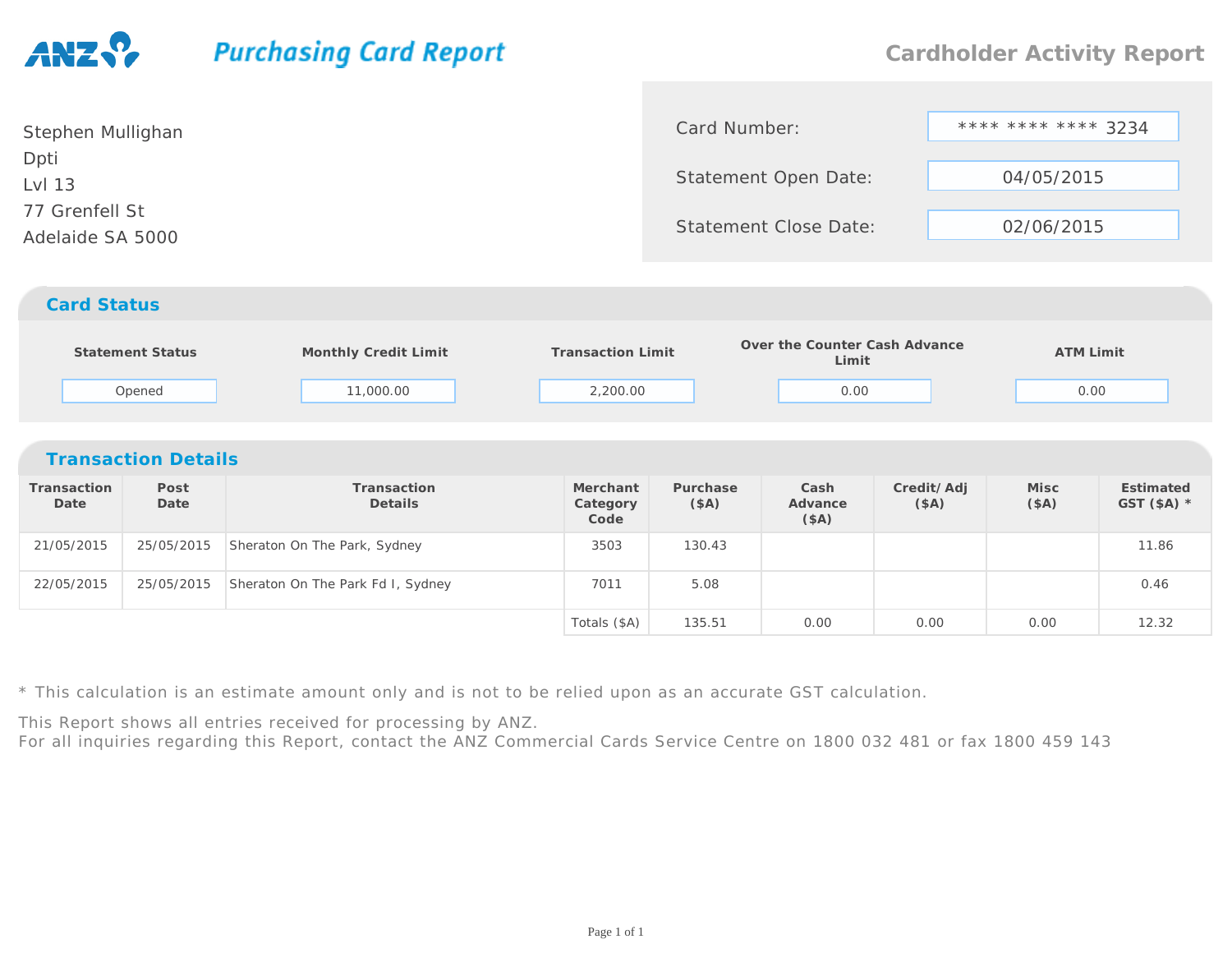## **Purchasing Card Report**

0.00 0.00 0.00 12.32

| Stephen Mullighan                  | Card Number:          | **** **** **** 3234 |  |
|------------------------------------|-----------------------|---------------------|--|
| Dpti<br>Lvl 13                     | Statement Open Date:  | 04/05/2015          |  |
| 77 Grenfell St<br>Adelaide SA 5000 | Statement Close Date: | 02/06/2015          |  |
|                                    |                       |                     |  |

## *Card Status*

|                            | <b>Statement Status</b><br>Opened | Monthly Credit Limit<br>11,000.00 | <b>Transaction Limit</b><br>2,200.00 |                   | Over the Counter Cash Advance<br>Limit<br>0.00 |                    | <b>ATM Limit</b><br>0.00 |                           |  |  |
|----------------------------|-----------------------------------|-----------------------------------|--------------------------------------|-------------------|------------------------------------------------|--------------------|--------------------------|---------------------------|--|--|
| <b>Transaction Details</b> |                                   |                                   |                                      |                   |                                                |                    |                          |                           |  |  |
| Transaction<br>Date        | Post<br>Date                      | Transaction<br>Details            | Merchant<br>Category<br>Code         | Purchase<br>(\$A) | Cash<br>Advance<br>(\$A)                       | Credit/Adj<br>(SA) | Misc<br>(SA)             | Estimated<br>GST $(SA)$ * |  |  |
| 21/05/2015                 | 25/05/2015                        | Sheraton On The Park, Sydney      | 3503                                 | 130.43            |                                                |                    |                          | 11.86                     |  |  |
| 22/05/2015                 | 25/05/2015                        | Sheraton On The Park Fd I, Sydney | 7011                                 | 5.08              |                                                |                    |                          | 0.46                      |  |  |
|                            |                                   |                                   | Totals (\$A)                         | 135.51            | 0.00                                           | 0.00               | 0.00                     | 12.32                     |  |  |

\* This calculation is an estimate amount only and is not to be relied upon as an accurate GST calculation.

This Report shows all entries received for processing by ANZ.

For all inquiries regarding this Report, contact the ANZ Commercial Cards Service Centre on 1800 032 481 or fax 1800 459 143